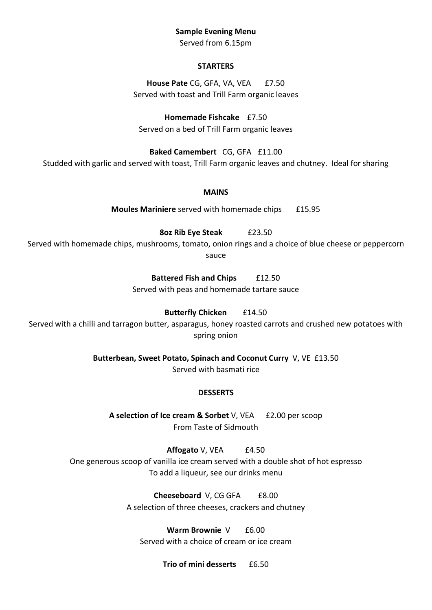### **Sample Evening Menu**

Served from 6.15pm

## **STARTERS**

# House Pate CG, GFA, VA, VEA £7.50 Served with toast and Trill Farm organic leaves

**Homemade Fishcake** £7.50 Served on a bed of Trill Farm organic leaves

## **Baked Camembert** CG, GFA £11.00

Studded with garlic and served with toast, Trill Farm organic leaves and chutney. Ideal for sharing

### **MAINS**

**Moules Mariniere** served with homemade chips £15.95

**8oz Rib Eye Steak** £23.50

Served with homemade chips, mushrooms, tomato, onion rings and a choice of blue cheese or peppercorn sauce

**Battered Fish and Chips** £12.50

Served with peas and homemade tartare sauce

# **Butterfly Chicken** £14.50

Served with a chilli and tarragon butter, asparagus, honey roasted carrots and crushed new potatoes with spring onion

> **Butterbean, Sweet Potato, Spinach and Coconut Curry** V, VE £13.50 Served with basmati rice

## **DESSERTS**

**A** selection of Ice cream & Sorbet V, VEA £2.00 per scoop From Taste of Sidmouth

**Affogato** V, VEA £4.50 One generous scoop of vanilla ice cream served with a double shot of hot espresso To add a liqueur, see our drinks menu

> **Cheeseboard** V, CG GFA £8.00 A selection of three cheeses, crackers and chutney

**Warm Brownie** V £6.00 Served with a choice of cream or ice cream

# **Trio of mini desserts** £6.50